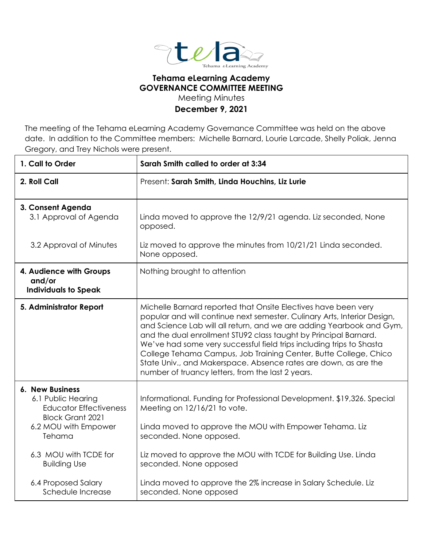

## **Tehama eLearning Academy GOVERNANCE COMMITTEE MEETING**

Meeting Minutes

## **December 9, 2021**

The meeting of the Tehama eLearning Academy Governance Committee was held on the above date. In addition to the Committee members: Michelle Barnard, Lourie Larcade, Shelly Poliak, Jenna Gregory, and Trey Nichols were present.

| 1. Call to Order                                                                                                                                                                                                  | Sarah Smith called to order at 3:34                                                                                                                                                                                                                                                                                                                                                                                                                                                                                                                        |
|-------------------------------------------------------------------------------------------------------------------------------------------------------------------------------------------------------------------|------------------------------------------------------------------------------------------------------------------------------------------------------------------------------------------------------------------------------------------------------------------------------------------------------------------------------------------------------------------------------------------------------------------------------------------------------------------------------------------------------------------------------------------------------------|
| 2. Roll Call                                                                                                                                                                                                      | Present: Sarah Smith, Linda Houchins, Liz Lurie                                                                                                                                                                                                                                                                                                                                                                                                                                                                                                            |
| 3. Consent Agenda<br>3.1 Approval of Agenda                                                                                                                                                                       | Linda moved to approve the 12/9/21 agenda. Liz seconded, None<br>opposed.                                                                                                                                                                                                                                                                                                                                                                                                                                                                                  |
| 3.2 Approval of Minutes                                                                                                                                                                                           | Liz moved to approve the minutes from 10/21/21 Linda seconded.<br>None opposed.                                                                                                                                                                                                                                                                                                                                                                                                                                                                            |
| 4. Audience with Groups<br>and/or<br><b>Individuals to Speak</b>                                                                                                                                                  | Nothing brought to attention                                                                                                                                                                                                                                                                                                                                                                                                                                                                                                                               |
| 5. Administrator Report                                                                                                                                                                                           | Michelle Barnard reported that Onsite Electives have been very<br>popular and will continue next semester. Culinary Arts, Interior Design,<br>and Science Lab will all return, and we are adding Yearbook and Gym,<br>and the dual enrollment STU92 class taught by Principal Barnard.<br>We've had some very successful field trips including trips to Shasta<br>College Tehama Campus, Job Training Center, Butte College, Chico<br>State Univ., and Makerspace. Absence rates are down, as are the<br>number of truancy letters, from the last 2 years. |
| <b>6. New Business</b><br>6.1 Public Hearing<br><b>Educator Effectiveness</b><br><b>Block Grant 2021</b><br>6.2 MOU with Empower<br>Tehama<br>6.3 MOU with TCDE for<br><b>Building Use</b><br>6.4 Proposed Salary | Informational. Funding for Professional Development. \$19,326. Special<br>Meeting on 12/16/21 to vote.<br>Linda moved to approve the MOU with Empower Tehama. Liz<br>seconded. None opposed.<br>Liz moved to approve the MOU with TCDE for Building Use. Linda<br>seconded. None opposed<br>Linda moved to approve the 2% increase in Salary Schedule. Liz                                                                                                                                                                                                 |
| Schedule Increase                                                                                                                                                                                                 | seconded. None opposed                                                                                                                                                                                                                                                                                                                                                                                                                                                                                                                                     |